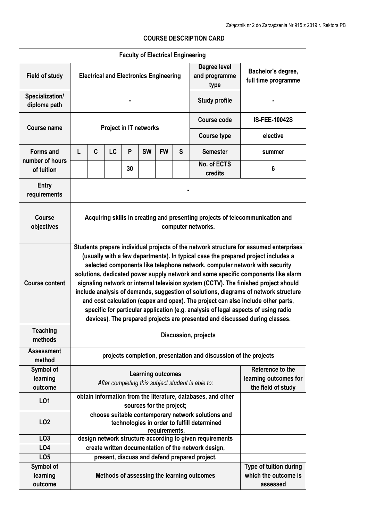| <b>Faculty of Electrical Engineering</b>          |                                                                                                                                                                                                                                                                                                                                                                                                                                                                                                                                                                                                                                                                                                                                                                                      |                                                                                          |           |    |           |           |   |                                               |                                                            |
|---------------------------------------------------|--------------------------------------------------------------------------------------------------------------------------------------------------------------------------------------------------------------------------------------------------------------------------------------------------------------------------------------------------------------------------------------------------------------------------------------------------------------------------------------------------------------------------------------------------------------------------------------------------------------------------------------------------------------------------------------------------------------------------------------------------------------------------------------|------------------------------------------------------------------------------------------|-----------|----|-----------|-----------|---|-----------------------------------------------|------------------------------------------------------------|
| <b>Field of study</b>                             | Degree level<br><b>Electrical and Electronics Engineering</b><br>and programme<br>type                                                                                                                                                                                                                                                                                                                                                                                                                                                                                                                                                                                                                                                                                               |                                                                                          |           |    |           |           |   | Bachelor's degree,<br>full time programme     |                                                            |
| Specialization/<br>diploma path                   |                                                                                                                                                                                                                                                                                                                                                                                                                                                                                                                                                                                                                                                                                                                                                                                      |                                                                                          |           |    |           |           |   | <b>Study profile</b>                          |                                                            |
| <b>Course name</b>                                | <b>Project in IT networks</b>                                                                                                                                                                                                                                                                                                                                                                                                                                                                                                                                                                                                                                                                                                                                                        |                                                                                          |           |    |           |           |   | <b>Course code</b>                            | <b>IS-FEE-10042S</b>                                       |
|                                                   |                                                                                                                                                                                                                                                                                                                                                                                                                                                                                                                                                                                                                                                                                                                                                                                      |                                                                                          |           |    |           |           |   | <b>Course type</b>                            | elective                                                   |
| <b>Forms and</b><br>number of hours<br>of tuition | L                                                                                                                                                                                                                                                                                                                                                                                                                                                                                                                                                                                                                                                                                                                                                                                    | C                                                                                        | <b>LC</b> | P  | <b>SW</b> | <b>FW</b> | S | <b>Semester</b>                               | summer                                                     |
|                                                   |                                                                                                                                                                                                                                                                                                                                                                                                                                                                                                                                                                                                                                                                                                                                                                                      |                                                                                          |           | 30 |           |           |   | No. of ECTS<br>credits                        | $6\phantom{1}6$                                            |
| Entry<br>requirements                             |                                                                                                                                                                                                                                                                                                                                                                                                                                                                                                                                                                                                                                                                                                                                                                                      |                                                                                          |           |    |           |           |   |                                               |                                                            |
| <b>Course</b><br>objectives                       | Acquiring skills in creating and presenting projects of telecommunication and<br>computer networks.                                                                                                                                                                                                                                                                                                                                                                                                                                                                                                                                                                                                                                                                                  |                                                                                          |           |    |           |           |   |                                               |                                                            |
| <b>Course content</b>                             | Students prepare individual projects of the network structure for assumed enterprises<br>(usually with a few departments). In typical case the prepared project includes a<br>selected components like telephone network, computer network with security<br>solutions, dedicated power supply network and some specific components like alarm<br>signaling network or internal television system (CCTV). The finished project should<br>include analysis of demands, suggestion of solutions, diagrams of network structure<br>and cost calculation (capex and opex). The project can also include other parts,<br>specific for particular application (e.g. analysis of legal aspects of using radio<br>devices). The prepared projects are presented and discussed during classes. |                                                                                          |           |    |           |           |   |                                               |                                                            |
| <b>Teaching</b><br>methods                        | Discussion, projects                                                                                                                                                                                                                                                                                                                                                                                                                                                                                                                                                                                                                                                                                                                                                                 |                                                                                          |           |    |           |           |   |                                               |                                                            |
| <b>Assessment</b><br>method                       | projects completion, presentation and discussion of the projects                                                                                                                                                                                                                                                                                                                                                                                                                                                                                                                                                                                                                                                                                                                     |                                                                                          |           |    |           |           |   |                                               |                                                            |
| Symbol of<br>learning<br>outcome                  | Reference to the<br><b>Learning outcomes</b><br>After completing this subject student is able to:<br>the field of study                                                                                                                                                                                                                                                                                                                                                                                                                                                                                                                                                                                                                                                              |                                                                                          |           |    |           |           |   | learning outcomes for                         |                                                            |
| L01                                               |                                                                                                                                                                                                                                                                                                                                                                                                                                                                                                                                                                                                                                                                                                                                                                                      | obtain information from the literature, databases, and other<br>sources for the project; |           |    |           |           |   |                                               |                                                            |
| LO <sub>2</sub>                                   | choose suitable contemporary network solutions and<br>technologies in order to fulfill determined<br>requirements,                                                                                                                                                                                                                                                                                                                                                                                                                                                                                                                                                                                                                                                                   |                                                                                          |           |    |           |           |   |                                               |                                                            |
| LO <sub>3</sub>                                   |                                                                                                                                                                                                                                                                                                                                                                                                                                                                                                                                                                                                                                                                                                                                                                                      | design network structure according to given requirements                                 |           |    |           |           |   |                                               |                                                            |
| LO <sub>4</sub>                                   | create written documentation of the network design,                                                                                                                                                                                                                                                                                                                                                                                                                                                                                                                                                                                                                                                                                                                                  |                                                                                          |           |    |           |           |   |                                               |                                                            |
| LO <sub>5</sub>                                   |                                                                                                                                                                                                                                                                                                                                                                                                                                                                                                                                                                                                                                                                                                                                                                                      |                                                                                          |           |    |           |           |   | present, discuss and defend prepared project. |                                                            |
| Symbol of<br>learning<br>outcome                  |                                                                                                                                                                                                                                                                                                                                                                                                                                                                                                                                                                                                                                                                                                                                                                                      |                                                                                          |           |    |           |           |   | Methods of assessing the learning outcomes    | Type of tuition during<br>which the outcome is<br>assessed |

## **COURSE DESCRIPTION CARD**